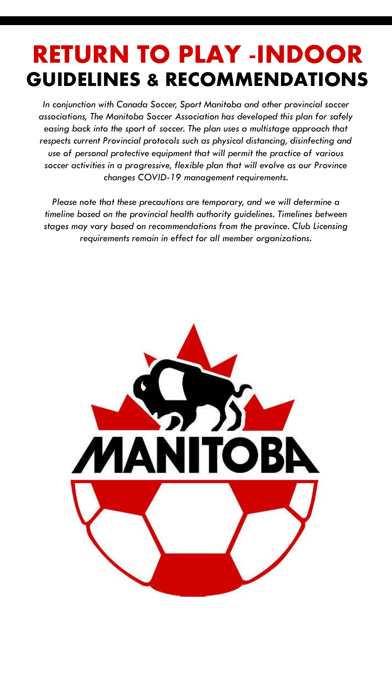*In conjunction with Canada Soccer, Sport Manitoba and other provincial soccer associations, The Manitoba Soccer Association has developed this plan for safely easing back into the sport of soccer. The plan uses a multistage approach that respects current Provincial protocols such as physical distancing, disinfecting and use of personal protective equipment that will permit the practice of various soccer activities in a progressive, flexible plan that will evolve as our Province changes COVID-19 management requirements.* 

*Please note that these precautions are temporary, and we will determine a timeline based on the provincial health authority guidelines. Timelines between stages may vary based on recommendations from the province. Club Licensing requirements remain in effect for all member organizations.* 

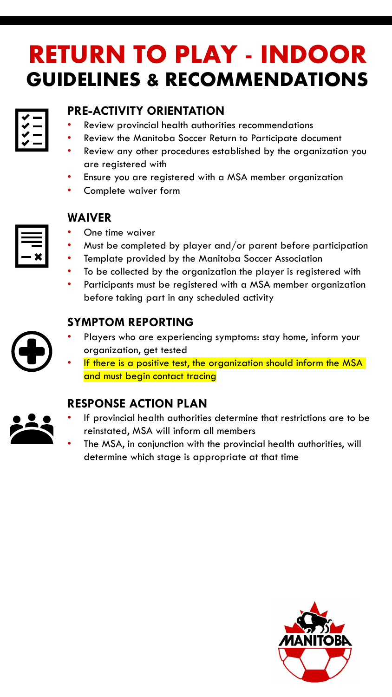## **PRE-ACTIVITY ORIENTATION**

- Review provincial health authorities recommendations
- Review the Manitoba Soccer Return to Participate document
- Review any other procedures established by the organization you are registered with
- Ensure you are registered with a MSA member organization
- Complete waiver form

## **WAIVER**

- One time waiver
- Must be completed by player and/or parent before participation
- Template provided by the Manitoba Soccer Association
- To be collected by the organization the player is registered with
- Participants must be registered with a MSA member organization before taking part in any scheduled activity

## **SYMPTOM REPORTING**

- Players who are experiencing symptoms: stay home, inform your organization, get tested
- If there is a positive test, the organization should inform the MSA and must begin contact tracing

### **RESPONSE ACTION PLAN**

- If provincial health authorities determine that restrictions are to be reinstated, MSA will inform all members
- The MSA, in conjunction with the provincial health authorities, will determine which stage is appropriate at that time





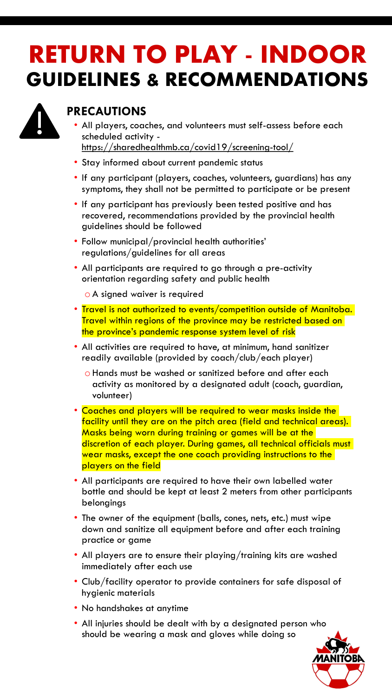

### **PRECAUTIONS**

- All players, coaches, and volunteers must self-assess before each scheduled activity <https://sharedhealthmb.ca/covid19/screening-tool/>
- Stay informed about current pandemic status
- If any participant (players, coaches, volunteers, guardians) has any symptoms, they shall not be permitted to participate or be present
- If any participant has previously been tested positive and has recovered, recommendations provided by the provincial health guidelines should be followed
- Follow municipal/provincial health authorities' regulations/guidelines for all areas
- All participants are required to go through a pre-activity orientation regarding safety and public health

o A signed waiver is required

- Travel is not authorized to events/competition outside of Manitoba. Travel within regions of the province may be restricted based on the province's pandemic response system level of risk
- All activities are required to have, at minimum, hand sanitizer readily available (provided by coach/club/each player)
	- o Hands must be washed or sanitized before and after each activity as monitored by a designated adult (coach, guardian, volunteer)
- Coaches and players will be required to wear masks inside the facility until they are on the pitch area (field and technical areas). Masks being worn during training or games will be at the discretion of each player. During games, all technical officials must wear masks, except the one coach providing instructions to the players on the field
- All participants are required to have their own labelled water bottle and should be kept at least 2 meters from other participants belongings
- The owner of the equipment (balls, cones, nets, etc.) must wipe down and sanitize all equipment before and after each training practice or game
- All players are to ensure their playing/training kits are washed immediately after each use
- Club/facility operator to provide containers for safe disposal of hygienic materials
- No handshakes at anytime
- All injuries should be dealt with by a designated person who should be wearing a mask and gloves while doing so

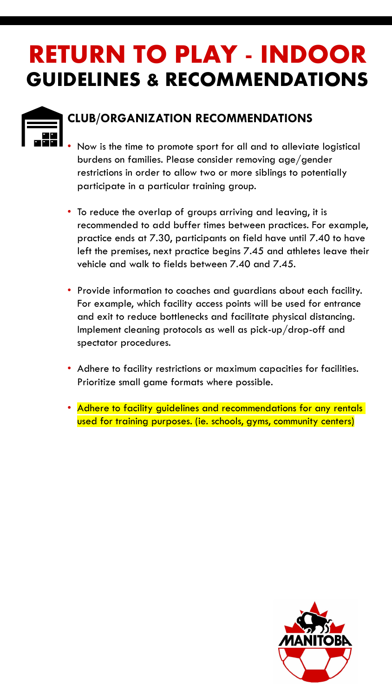

## **CLUB/ORGANIZATION RECOMMENDATIONS**

- Now is the time to promote sport for all and to alleviate logistical burdens on families. Please consider removing age/gender restrictions in order to allow two or more siblings to potentially participate in a particular training group.
- To reduce the overlap of groups arriving and leaving, it is recommended to add buffer times between practices. For example, practice ends at 7.30, participants on field have until 7.40 to have left the premises, next practice begins 7.45 and athletes leave their vehicle and walk to fields between 7.40 and 7.45.
- Provide information to coaches and guardians about each facility. For example, which facility access points will be used for entrance and exit to reduce bottlenecks and facilitate physical distancing. Implement cleaning protocols as well as pick-up/drop-off and spectator procedures.
- Adhere to facility restrictions or maximum capacities for facilities. Prioritize small game formats where possible.
- Adhere to facility guidelines and recommendations for any rentals used for training purposes. (ie. schools, gyms, community centers)

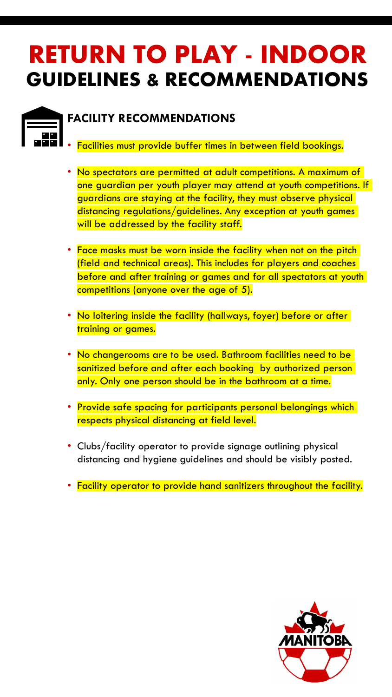

### **FACILITY RECOMMENDATIONS**

- Facilities must provide buffer times in between field bookings.
- No spectators are permitted at adult competitions. A maximum of one guardian per youth player may attend at youth competitions. If guardians are staying at the facility, they must observe physical distancing regulations/guidelines. Any exception at youth games will be addressed by the facility staff.
- Face masks must be worn inside the facility when not on the pitch (field and technical areas). This includes for players and coaches before and after training or games and for all spectators at youth competitions (anyone over the age of 5).
- No loitering inside the facility (hallways, foyer) before or after training or games.
- No changerooms are to be used. Bathroom facilities need to be sanitized before and after each booking by authorized person only. Only one person should be in the bathroom at a time.
- Provide safe spacing for participants personal belongings which respects physical distancing at field level.
- Clubs/facility operator to provide signage outlining physical distancing and hygiene guidelines and should be visibly posted.
- Facility operator to provide hand sanitizers throughout the facility.

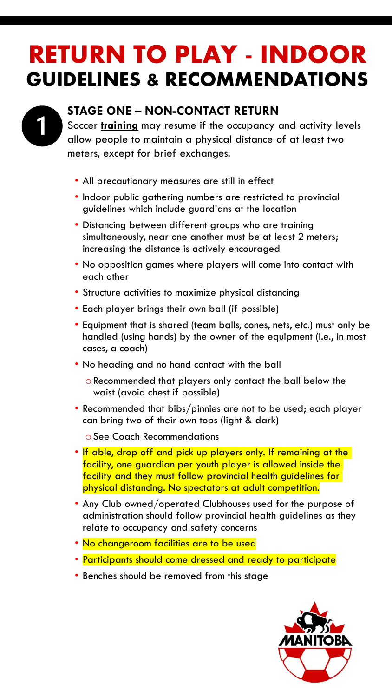

### **STAGE ONE – NON-CONTACT RETURN**

Soccer **training** may resume if the occupancy and activity levels allow people to maintain a physical distance of at least two meters, except for brief exchanges.

- All precautionary measures are still in effect
- Indoor public gathering numbers are restricted to provincial guidelines which include guardians at the location
- Distancing between different groups who are training simultaneously, near one another must be at least 2 meters; increasing the distance is actively encouraged
- No opposition games where players will come into contact with each other
- Structure activities to maximize physical distancing
- Each player brings their own ball (if possible)
- Equipment that is shared (team balls, cones, nets, etc.) must only be handled (using hands) by the owner of the equipment (i.e., in most cases, a coach)
- No heading and no hand contact with the ball
	- oRecommended that players only contact the ball below the waist (avoid chest if possible)
- Recommended that bibs/pinnies are not to be used; each player can bring two of their own tops (light & dark)

oSee Coach Recommendations

- If able, drop off and pick up players only. If remaining at the facility, one guardian per youth player is allowed inside the facility and they must follow provincial health guidelines for physical distancing. No spectators at adult competition.
- Any Club owned/operated Clubhouses used for the purpose of administration should follow provincial health guidelines as they relate to occupancy and safety concerns
- No changeroom facilities are to be used
- Participants should come dressed and ready to participate
- Benches should be removed from this stage

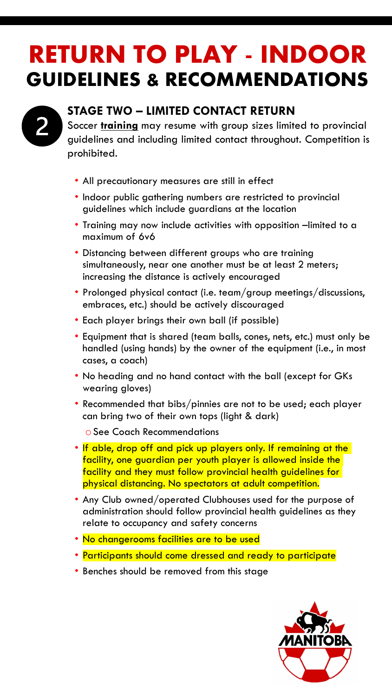

## **STAGE TWO – LIMITED CONTACT RETURN**

Soccer **training** may resume with group sizes limited to provincial guidelines and including limited contact throughout. Competition is prohibited.

- All precautionary measures are still in effect
- Indoor public gathering numbers are restricted to provincial guidelines which include guardians at the location
- Training may now include activities with opposition –limited to a maximum of 6v6
- Distancing between different groups who are training simultaneously, near one another must be at least 2 meters; increasing the distance is actively encouraged
- Prolonged physical contact (i.e. team/group meetings/discussions, embraces, etc.) should be actively discouraged
- Each player brings their own ball (if possible)
- Equipment that is shared (team balls, cones, nets, etc.) must only be handled (using hands) by the owner of the equipment (i.e., in most cases, a coach)
- No heading and no hand contact with the ball (except for GKs wearing gloves)
- Recommended that bibs/pinnies are not to be used; each player can bring two of their own tops (light & dark)

oSee Coach Recommendations

- If able, drop off and pick up players only. If remaining at the facility, one guardian per youth player is allowed inside the facility and they must follow provincial health guidelines for physical distancing. No spectators at adult competition.
- Any Club owned/operated Clubhouses used for the purpose of administration should follow provincial health guidelines as they relate to occupancy and safety concerns
- No changerooms facilities are to be used
- Participants should come dressed and ready to participate
- Benches should be removed from this stage

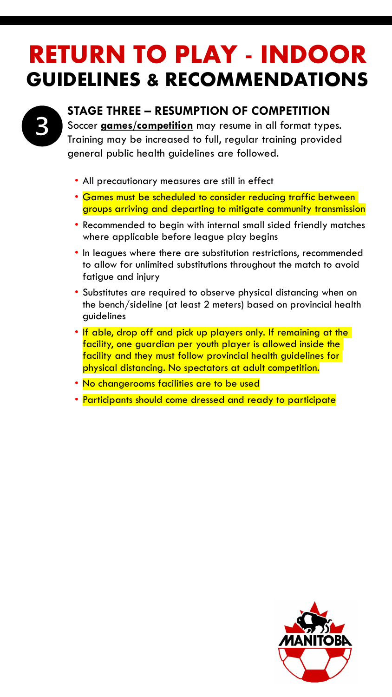

## **STAGE THREE – RESUMPTION OF COMPETITION**

Soccer **games/competition** may resume in all format types. Training may be increased to full, regular training provided general public health guidelines are followed.

- All precautionary measures are still in effect
- Games must be scheduled to consider reducing traffic between groups arriving and departing to mitigate community transmission
- Recommended to begin with internal small sided friendly matches where applicable before league play begins
- In leagues where there are substitution restrictions, recommended to allow for unlimited substitutions throughout the match to avoid fatigue and injury
- Substitutes are required to observe physical distancing when on the bench/sideline (at least 2 meters) based on provincial health guidelines
- If able, drop off and pick up players only. If remaining at the facility, one guardian per youth player is allowed inside the facility and they must follow provincial health guidelines for physical distancing. No spectators at adult competition.
- No changerooms facilities are to be used
- Participants should come dressed and ready to participate

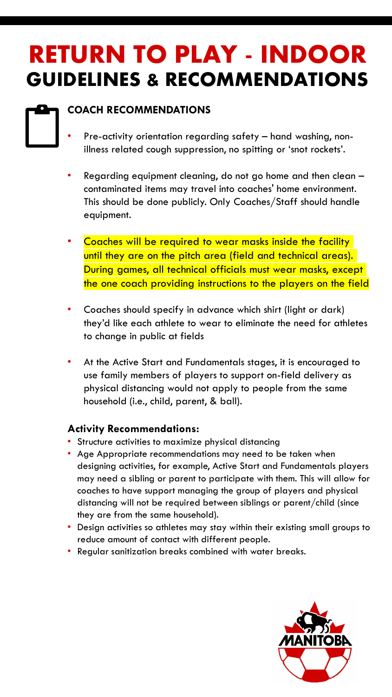### **COACH RECOMMENDATIONS**

- Pre-activity orientation regarding safety hand washing, nonillness related cough suppression, no spitting or 'snot rockets'.
- Regarding equipment cleaning, do not go home and then clean contaminated items may travel into coaches' home environment. This should be done publicly. Only Coaches/Staff should handle equipment.
- Coaches will be required to wear masks inside the facility until they are on the pitch area (field and technical areas). During games, all technical officials must wear masks, except the one coach providing instructions to the players on the field
- Coaches should specify in advance which shirt (light or dark) they'd like each athlete to wear to eliminate the need for athletes to change in public at fields
- At the Active Start and Fundamentals stages, it is encouraged to use family members of players to support on-field delivery as physical distancing would not apply to people from the same household (i.e., child, parent, & ball).

#### **Activity Recommendations:**

- Structure activities to maximize physical distancing
- Age Appropriate recommendations may need to be taken when designing activities, for example, Active Start and Fundamentals players may need a sibling or parent to participate with them. This will allow for coaches to have support managing the group of players and physical distancing will not be required between siblings or parent/child (since they are from the same household).
- Design activities so athletes may stay within their existing small groups to reduce amount of contact with different people.
- Regular sanitization breaks combined with water breaks.

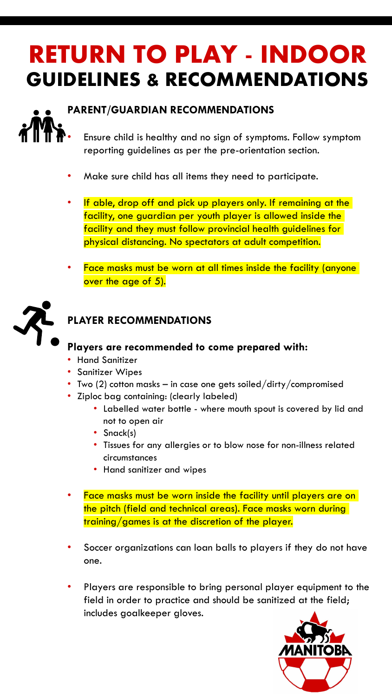

### **PARENT/GUARDIAN RECOMMENDATIONS**

• Ensure child is healthy and no sign of symptoms. Follow symptom reporting guidelines as per the pre-orientation section.

- Make sure child has all items they need to participate.
- If able, drop off and pick up players only. If remaining at the facility, one guardian per youth player is allowed inside the facility and they must follow provincial health guidelines for physical distancing. No spectators at adult competition.
- Face masks must be worn at all times inside the facility (anyone over the age of 5).



### **PLAYER RECOMMENDATIONS**

#### **Players are recommended to come prepared with:**

- Hand Sanitizer
- Sanitizer Wipes
- Two (2) cotton masks in case one gets soiled/dirty/compromised
- Ziploc bag containing: (clearly labeled)
	- Labelled water bottle where mouth spout is covered by lid and not to open air
	- Snack(s)
	- Tissues for any allergies or to blow nose for non-illness related circumstances
	- Hand sanitizer and wipes
- Face masks must be worn inside the facility until players are on the pitch (field and technical areas). Face masks worn during training/games is at the discretion of the player.
- Soccer organizations can loan balls to players if they do not have one.
- Players are responsible to bring personal player equipment to the field in order to practice and should be sanitized at the field; includes goalkeeper gloves.

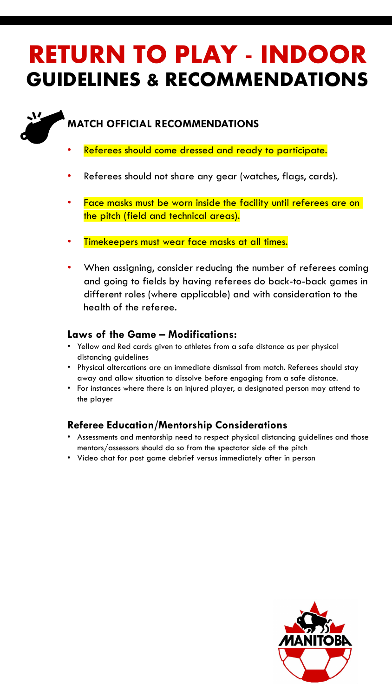### **MATCH OFFICIAL RECOMMENDATIONS**

い

- Referees should come dressed and ready to participate.
- Referees should not share any gear (watches, flags, cards).
- Face masks must be worn inside the facility until referees are on the pitch (field and technical areas).
- Timekeepers must wear face masks at all times.
- When assigning, consider reducing the number of referees coming and going to fields by having referees do back-to-back games in different roles (where applicable) and with consideration to the health of the referee.

#### **Laws of the Game – Modifications:**

- Yellow and Red cards given to athletes from a safe distance as per physical distancing guidelines
- Physical altercations are an immediate dismissal from match. Referees should stay away and allow situation to dissolve before engaging from a safe distance.
- For instances where there is an injured player, a designated person may attend to the player

#### **Referee Education/Mentorship Considerations**

- Assessments and mentorship need to respect physical distancing guidelines and those mentors/assessors should do so from the spectator side of the pitch
- Video chat for post game debrief versus immediately after in person